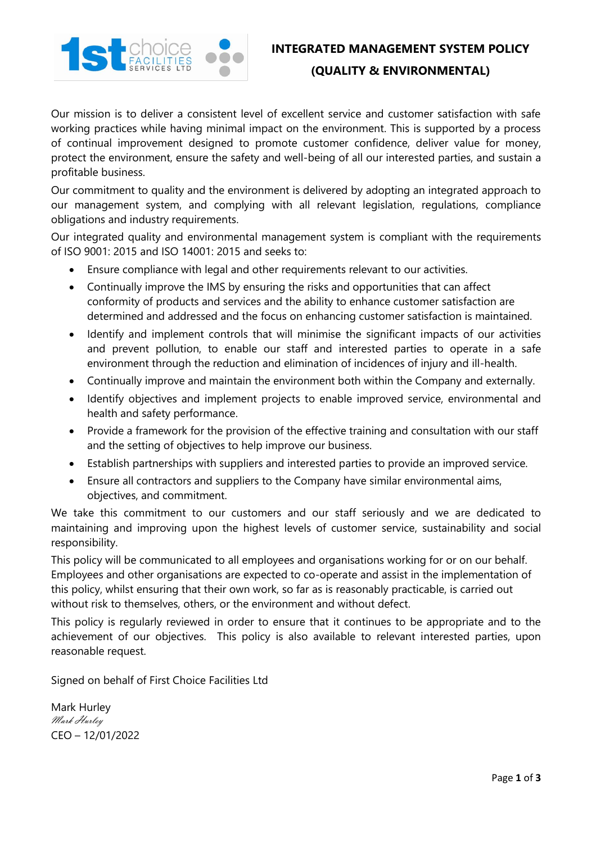

## **INTEGRATED MANAGEMENT SYSTEM POLICY (QUALITY & ENVIRONMENTAL)**

Our mission is to deliver a consistent level of excellent service and customer satisfaction with safe working practices while having minimal impact on the environment. This is supported by a process of continual improvement designed to promote customer confidence, deliver value for money, protect the environment, ensure the safety and well-being of all our interested parties, and sustain a profitable business.

Our commitment to quality and the environment is delivered by adopting an integrated approach to our management system, and complying with all relevant legislation, regulations, compliance obligations and industry requirements.

Our integrated quality and environmental management system is compliant with the requirements of ISO 9001: 2015 and ISO 14001: 2015 and seeks to:

- Ensure compliance with legal and other requirements relevant to our activities.
- Continually improve the IMS by ensuring the risks and opportunities that can affect conformity of products and services and the ability to enhance customer satisfaction are determined and addressed and the focus on enhancing customer satisfaction is maintained.
- Identify and implement controls that will minimise the significant impacts of our activities and prevent pollution, to enable our staff and interested parties to operate in a safe environment through the reduction and elimination of incidences of injury and ill-health.
- Continually improve and maintain the environment both within the Company and externally.
- Identify objectives and implement projects to enable improved service, environmental and health and safety performance.
- Provide a framework for the provision of the effective training and consultation with our staff and the setting of objectives to help improve our business.
- Establish partnerships with suppliers and interested parties to provide an improved service.
- Ensure all contractors and suppliers to the Company have similar environmental aims, objectives, and commitment.

We take this commitment to our customers and our staff seriously and we are dedicated to maintaining and improving upon the highest levels of customer service, sustainability and social responsibility.

This policy will be communicated to all employees and organisations working for or on our behalf. Employees and other organisations are expected to co-operate and assist in the implementation of this policy, whilst ensuring that their own work, so far as is reasonably practicable, is carried out without risk to themselves, others, or the environment and without defect.

This policy is regularly reviewed in order to ensure that it continues to be appropriate and to the achievement of our objectives. This policy is also available to relevant interested parties, upon reasonable request.

Signed on behalf of First Choice Facilities Ltd

Mark Hurley Mark Hurley CEO – 12/01/2022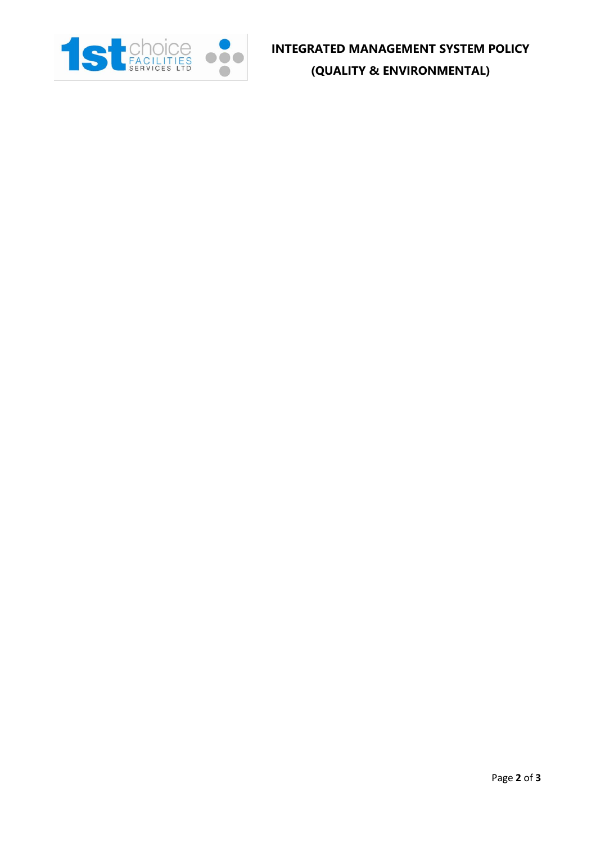